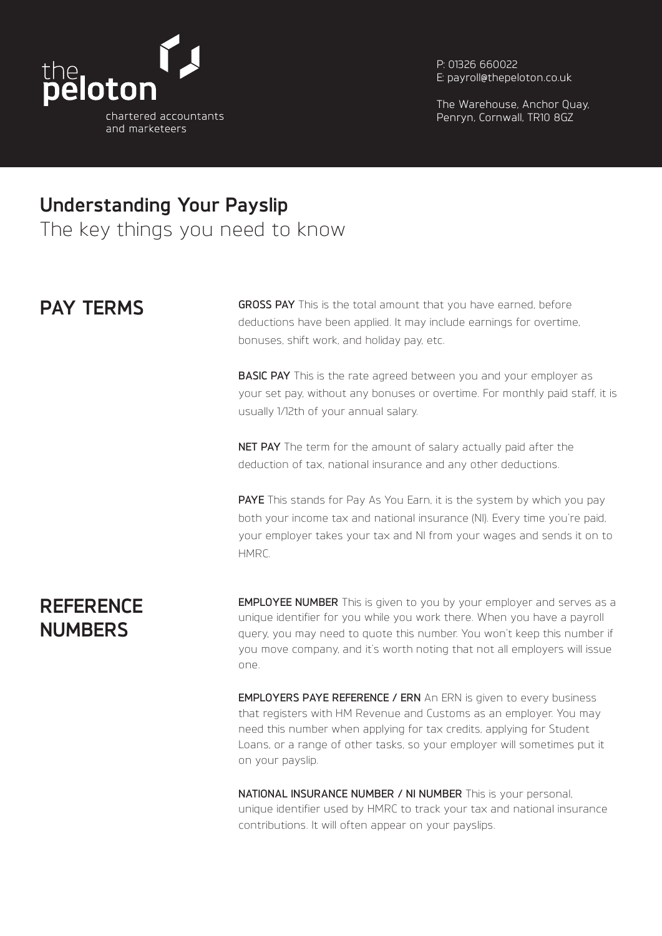

P: 01326 660022 E: payroll@thepeloton.co.uk

The Warehouse, Anchor Quay, Penryn, Cornwall, TR10 8GZ

# **Understanding Your Payslip**

The key things you need to know

## **PAY TERMS**

**GROSS PAY** This is the total amount that you have earned, before deductions have been applied. It may include earnings for overtime, bonuses, shift work, and holiday pay, etc.

**BASIC PAY** This is the rate agreed between you and your employer as your set pay, without any bonuses or overtime. For monthly paid staff, it is usually 1/12th of your annual salary.

**NET PAY** The term for the amount of salary actually paid after the deduction of tax, national insurance and any other deductions.

**PAYE** This stands for Pay As You Earn, it is the system by which you pay both your income tax and national insurance (NI). Every time you're paid, your employer takes your tax and NI from your wages and sends it on to HMRC.

# **REFERENCE NUMBERS**

**EMPLOYEE NUMBER** This is given to you by your employer and serves as a unique identifier for you while you work there. When you have a payroll query, you may need to quote this number. You won't keep this number if you move company, and it's worth noting that not all employers will issue one.

**EMPLOYERS PAYE REFERENCE / ERN** An ERN is given to every business that registers with HM Revenue and Customs as an employer. You may need this number when applying for tax credits, applying for Student Loans, or a range of other tasks, so your employer will sometimes put it on your payslip.

**NATIONAL INSURANCE NUMBER / NI NUMBER** This is your personal, unique identifier used by HMRC to track your tax and national insurance contributions. It will often appear on your payslips.